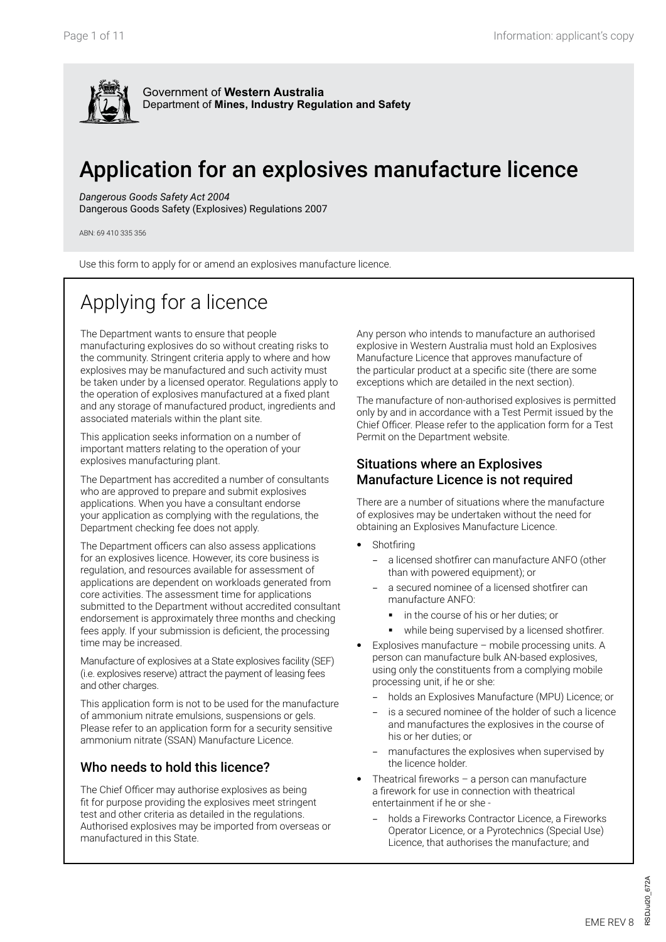

# Application for an explosives manufacture licence

*Dangerous Goods Safety Act 2004*

Dangerous Goods Safety (Explosives) Regulations 2007

ABN: 69 410 335 356

Use this form to apply for or amend an explosives manufacture licence.

# Applying for a licence

The Department wants to ensure that people manufacturing explosives do so without creating risks to the community. Stringent criteria apply to where and how explosives may be manufactured and such activity must be taken under by a licensed operator. Regulations apply to the operation of explosives manufactured at a fixed plant and any storage of manufactured product, ingredients and associated materials within the plant site.

This application seeks information on a number of important matters relating to the operation of your explosives manufacturing plant.

The Department has accredited a number of consultants who are approved to prepare and submit explosives applications. When you have a consultant endorse your application as complying with the regulations, the Department checking fee does not apply.

The Department officers can also assess applications for an explosives licence. However, its core business is regulation, and resources available for assessment of applications are dependent on workloads generated from core activities. The assessment time for applications submitted to the Department without accredited consultant endorsement is approximately three months and checking fees apply. If your submission is deficient, the processing time may be increased.

Manufacture of explosives at a State explosives facility (SEF) (i.e. explosives reserve) attract the payment of leasing fees and other charges.

This application form is not to be used for the manufacture of ammonium nitrate emulsions, suspensions or gels. Please refer to an application form for a security sensitive ammonium nitrate (SSAN) Manufacture Licence.

#### Who needs to hold this licence?

The Chief Officer may authorise explosives as being fit for purpose providing the explosives meet stringent test and other criteria as detailed in the regulations. Authorised explosives may be imported from overseas or manufactured in this State.

Any person who intends to manufacture an authorised explosive in Western Australia must hold an Explosives Manufacture Licence that approves manufacture of the particular product at a specific site (there are some exceptions which are detailed in the next section).

The manufacture of non-authorised explosives is permitted only by and in accordance with a Test Permit issued by the Chief Officer. Please refer to the application form for a Test Permit on the Department website.

#### Situations where an Explosives Manufacture Licence is not required

There are a number of situations where the manufacture of explosives may be undertaken without the need for obtaining an Explosives Manufacture Licence.

- Shotfiring
	- − a licensed shotfirer can manufacture ANFO (other than with powered equipment); or
	- a secured nominee of a licensed shotfirer can manufacture ANFO:
		- in the course of his or her duties; or
		- **while being supervised by a licensed shotfirer.**
- Explosives manufacture mobile processing units. A person can manufacture bulk AN-based explosives, using only the constituents from a complying mobile processing unit, if he or she:
	- − holds an Explosives Manufacture (MPU) Licence; or
	- is a secured nominee of the holder of such a licence and manufactures the explosives in the course of his or her duties; or
	- manufactures the explosives when supervised by the licence holder.
- Theatrical fireworks a person can manufacture a firework for use in connection with theatrical entertainment if he or she -
	- − holds a Fireworks Contractor Licence, a Fireworks Operator Licence, or a Pyrotechnics (Special Use) Licence, that authorises the manufacture; and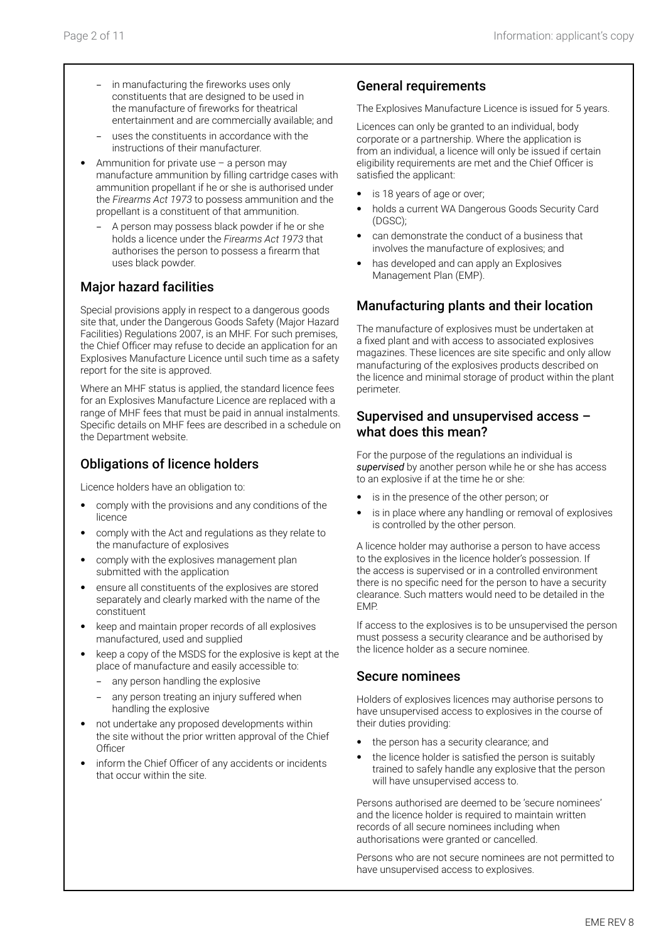- in manufacturing the fireworks uses only constituents that are designed to be used in the manufacture of fireworks for theatrical entertainment and are commercially available; and
- − uses the constituents in accordance with the instructions of their manufacturer.
- Ammunition for private use  $-$  a person may manufacture ammunition by filling cartridge cases with ammunition propellant if he or she is authorised under the *Firearms Act 1973* to possess ammunition and the propellant is a constituent of that ammunition.
	- A person may possess black powder if he or she holds a licence under the *Firearms Act 1973* that authorises the person to possess a firearm that uses black powder.

### Major hazard facilities

Special provisions apply in respect to a dangerous goods site that, under the Dangerous Goods Safety (Major Hazard Facilities) Regulations 2007, is an MHF. For such premises, the Chief Officer may refuse to decide an application for an Explosives Manufacture Licence until such time as a safety report for the site is approved.

Where an MHF status is applied, the standard licence fees for an Explosives Manufacture Licence are replaced with a range of MHF fees that must be paid in annual instalments. Specific details on MHF fees are described in a schedule on the Department website.

### Obligations of licence holders

Licence holders have an obligation to:

- comply with the provisions and any conditions of the licence
- comply with the Act and regulations as they relate to the manufacture of explosives
- comply with the explosives management plan submitted with the application
- ensure all constituents of the explosives are stored separately and clearly marked with the name of the constituent
- keep and maintain proper records of all explosives manufactured, used and supplied
- keep a copy of the MSDS for the explosive is kept at the place of manufacture and easily accessible to:
	- any person handling the explosive
	- any person treating an injury suffered when handling the explosive
- not undertake any proposed developments within the site without the prior written approval of the Chief **Officer**
- inform the Chief Officer of any accidents or incidents that occur within the site.

#### General requirements

The Explosives Manufacture Licence is issued for 5 years.

Licences can only be granted to an individual, body corporate or a partnership. Where the application is from an individual, a licence will only be issued if certain eligibility requirements are met and the Chief Officer is satisfied the applicant:

- is 18 years of age or over;
- holds a current WA Dangerous Goods Security Card (DGSC);
- can demonstrate the conduct of a business that involves the manufacture of explosives; and
- has developed and can apply an Explosives Management Plan (EMP).

### Manufacturing plants and their location

The manufacture of explosives must be undertaken at a fixed plant and with access to associated explosives magazines. These licences are site specific and only allow manufacturing of the explosives products described on the licence and minimal storage of product within the plant perimeter.

#### Supervised and unsupervised access – what does this mean?

For the purpose of the regulations an individual is *supervised* by another person while he or she has access to an explosive if at the time he or she:

- is in the presence of the other person; or
- is in place where any handling or removal of explosives is controlled by the other person.

A licence holder may authorise a person to have access to the explosives in the licence holder's possession. If the access is supervised or in a controlled environment there is no specific need for the person to have a security clearance. Such matters would need to be detailed in the EMP.

If access to the explosives is to be unsupervised the person must possess a security clearance and be authorised by the licence holder as a secure nominee.

#### Secure nominees

Holders of explosives licences may authorise persons to have unsupervised access to explosives in the course of their duties providing:

- the person has a security clearance; and
- the licence holder is satisfied the person is suitably trained to safely handle any explosive that the person will have unsupervised access to.

Persons authorised are deemed to be 'secure nominees' and the licence holder is required to maintain written records of all secure nominees including when authorisations were granted or cancelled.

Persons who are not secure nominees are not permitted to have unsupervised access to explosives.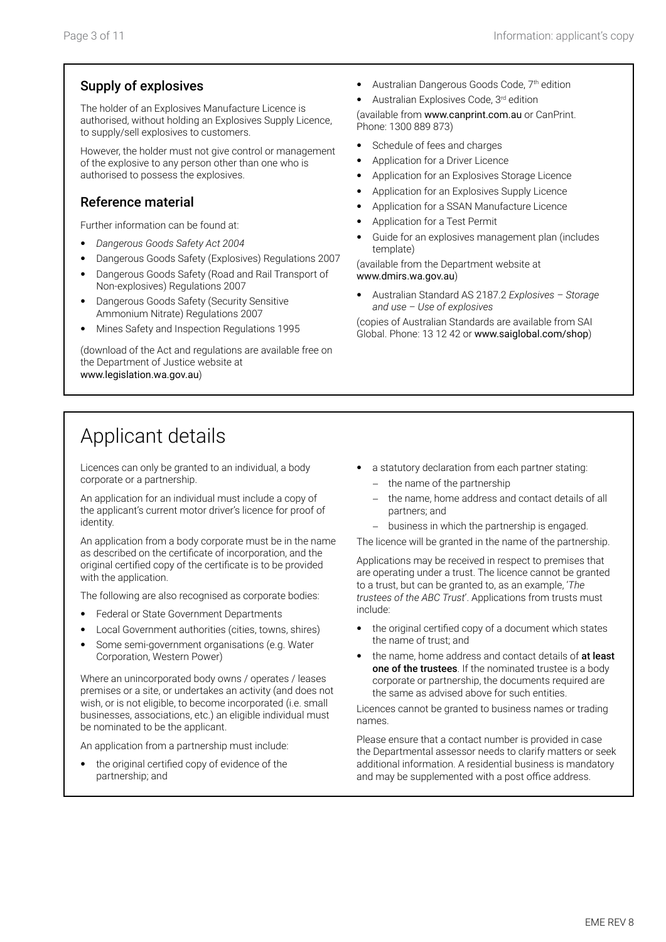#### Supply of explosives

The holder of an Explosives Manufacture Licence is authorised, without holding an Explosives Supply Licence, to supply/sell explosives to customers.

However, the holder must not give control or management of the explosive to any person other than one who is authorised to possess the explosives.

#### Reference material

Further information can be found at:

- *Dangerous Goods Safety Act 2004*
- Dangerous Goods Safety (Explosives) Regulations 2007
- Dangerous Goods Safety (Road and Rail Transport of Non-explosives) Regulations 2007
- Dangerous Goods Safety (Security Sensitive Ammonium Nitrate) Regulations 2007
- Mines Safety and Inspection Regulations 1995

(download of the Act and regulations are available free on the Department of Justice website at www.legislation.wa.gov.au)

- Australian Dangerous Goods Code, 7<sup>th</sup> edition
- Australian Explosives Code, 3rd edition

(available from www.canprint.com.au or CanPrint. Phone: 1300 889 873)

- Schedule of fees and charges
- Application for a Driver Licence
- Application for an Explosives Storage Licence
- Application for an Explosives Supply Licence
- Application for a SSAN Manufacture Licence
- Application for a Test Permit
- Guide for an explosives management plan (includes template)

(available from the Department website at www.dmirs.wa.gov.au)

• Australian Standard AS 2187.2 *Explosives – Storage and use – Use of explosives*

(copies of Australian Standards are available from SAI Global. Phone: 13 12 42 or www.saiglobal.com/shop)

### Applicant details

Licences can only be granted to an individual, a body corporate or a partnership.

An application for an individual must include a copy of the applicant's current motor driver's licence for proof of identity.

An application from a body corporate must be in the name as described on the certificate of incorporation, and the original certified copy of the certificate is to be provided with the application.

The following are also recognised as corporate bodies:

- Federal or State Government Departments
- Local Government authorities (cities, towns, shires)
- Some semi-government organisations (e.g. Water Corporation, Western Power)

Where an unincorporated body owns / operates / leases premises or a site, or undertakes an activity (and does not wish, or is not eligible, to become incorporated (i.e. small businesses, associations, etc.) an eligible individual must be nominated to be the applicant.

An application from a partnership must include:

the original certified copy of evidence of the partnership; and

- a statutory declaration from each partner stating:
	- the name of the partnership
	- the name, home address and contact details of all partners; and
	- − business in which the partnership is engaged.

The licence will be granted in the name of the partnership.

Applications may be received in respect to premises that are operating under a trust. The licence cannot be granted to a trust, but can be granted to, as an example, '*The trustees of the ABC Trust*'. Applications from trusts must include:

- the original certified copy of a document which states the name of trust; and
- the name, home address and contact details of at least one of the trustees. If the nominated trustee is a body corporate or partnership, the documents required are the same as advised above for such entities.

Licences cannot be granted to business names or trading names.

Please ensure that a contact number is provided in case the Departmental assessor needs to clarify matters or seek additional information. A residential business is mandatory and may be supplemented with a post office address.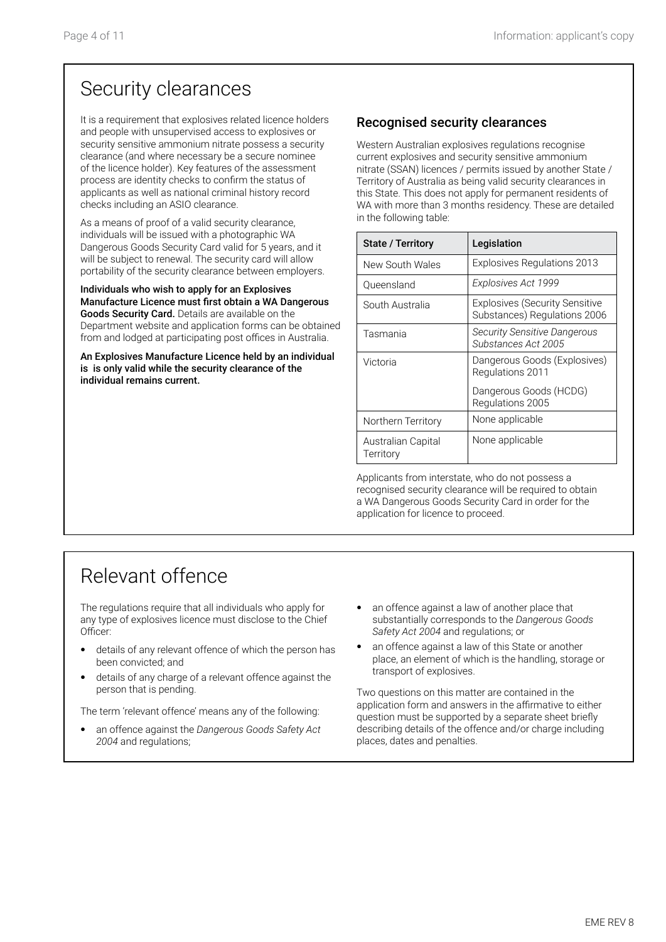## Security clearances

It is a requirement that explosives related licence holders and people with unsupervised access to explosives or security sensitive ammonium nitrate possess a security clearance (and where necessary be a secure nominee of the licence holder). Key features of the assessment process are identity checks to confirm the status of applicants as well as national criminal history record checks including an ASIO clearance.

As a means of proof of a valid security clearance, individuals will be issued with a photographic WA Dangerous Goods Security Card valid for 5 years, and it will be subject to renewal. The security card will allow portability of the security clearance between employers.

Individuals who wish to apply for an Explosives Manufacture Licence must first obtain a WA Dangerous Goods Security Card. Details are available on the Department website and application forms can be obtained from and lodged at participating post offices in Australia.

An Explosives Manufacture Licence held by an individual is is only valid while the security clearance of the individual remains current.

### Recognised security clearances

Western Australian explosives regulations recognise current explosives and security sensitive ammonium nitrate (SSAN) licences / permits issued by another State / Territory of Australia as being valid security clearances in this State. This does not apply for permanent residents of WA with more than 3 months residency. These are detailed in the following table:

| <b>State / Territory</b>        | Legislation                                                           |
|---------------------------------|-----------------------------------------------------------------------|
| New South Wales                 | <b>Explosives Regulations 2013</b>                                    |
| Queensland                      | Explosives Act 1999                                                   |
| South Australia                 | <b>Explosives (Security Sensitive</b><br>Substances) Regulations 2006 |
| Tasmania                        | <b>Security Sensitive Dangerous</b><br>Substances Act 2005            |
| Victoria                        | Dangerous Goods (Explosives)<br>Regulations 2011                      |
|                                 | Dangerous Goods (HCDG)<br>Regulations 2005                            |
| Northern Territory              | None applicable                                                       |
| Australian Capital<br>Territory | None applicable                                                       |

Applicants from interstate, who do not possess a recognised security clearance will be required to obtain a WA Dangerous Goods Security Card in order for the application for licence to proceed.

## Relevant offence

The regulations require that all individuals who apply for any type of explosives licence must disclose to the Chief Officer:

- details of any relevant offence of which the person has been convicted; and
- details of any charge of a relevant offence against the person that is pending.

The term 'relevant offence' means any of the following:

- an offence against the *Dangerous Goods Safety Act 2004* and regulations;
- an offence against a law of another place that substantially corresponds to the *Dangerous Goods Safety Act 2004* and regulations; or
- an offence against a law of this State or another place, an element of which is the handling, storage or transport of explosives.

Two questions on this matter are contained in the application form and answers in the affirmative to either question must be supported by a separate sheet briefly describing details of the offence and/or charge including places, dates and penalties.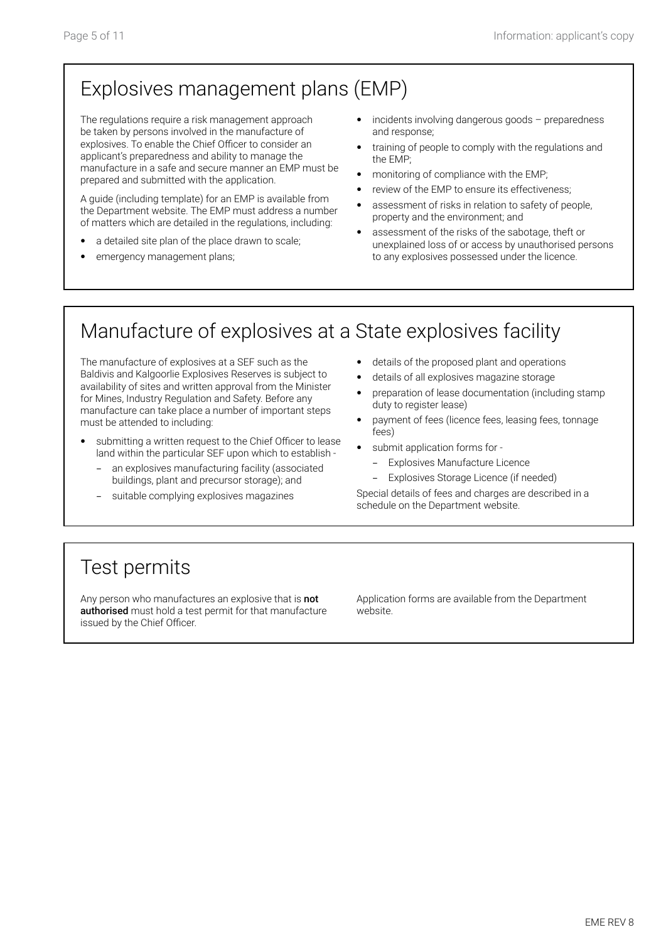# Explosives management plans (EMP)

The regulations require a risk management approach be taken by persons involved in the manufacture of explosives. To enable the Chief Officer to consider an applicant's preparedness and ability to manage the manufacture in a safe and secure manner an EMP must be prepared and submitted with the application.

A guide (including template) for an EMP is available from the Department website. The EMP must address a number of matters which are detailed in the regulations, including:

- a detailed site plan of the place drawn to scale;
- emergency management plans;
- incidents involving dangerous goods preparedness and response;
- training of people to comply with the regulations and the EMP;
- monitoring of compliance with the EMP;
- review of the EMP to ensure its effectiveness;
- assessment of risks in relation to safety of people, property and the environment; and
- assessment of the risks of the sabotage, theft or unexplained loss of or access by unauthorised persons to any explosives possessed under the licence.

# Manufacture of explosives at a State explosives facility

The manufacture of explosives at a SEF such as the Baldivis and Kalgoorlie Explosives Reserves is subject to availability of sites and written approval from the Minister for Mines, Industry Regulation and Safety. Before any manufacture can take place a number of important steps must be attended to including:

- submitting a written request to the Chief Officer to lease land within the particular SEF upon which to establish
	- an explosives manufacturing facility (associated buildings, plant and precursor storage); and
	- suitable complying explosives magazines
- details of the proposed plant and operations
- details of all explosives magazine storage
- preparation of lease documentation (including stamp duty to register lease)
- payment of fees (licence fees, leasing fees, tonnage fees)
- submit application forms for
	- Explosives Manufacture Licence
	- Explosives Storage Licence (if needed)

Special details of fees and charges are described in a schedule on the Department website.

## Test permits

Any person who manufactures an explosive that is not authorised must hold a test permit for that manufacture issued by the Chief Officer.

Application forms are available from the Department website.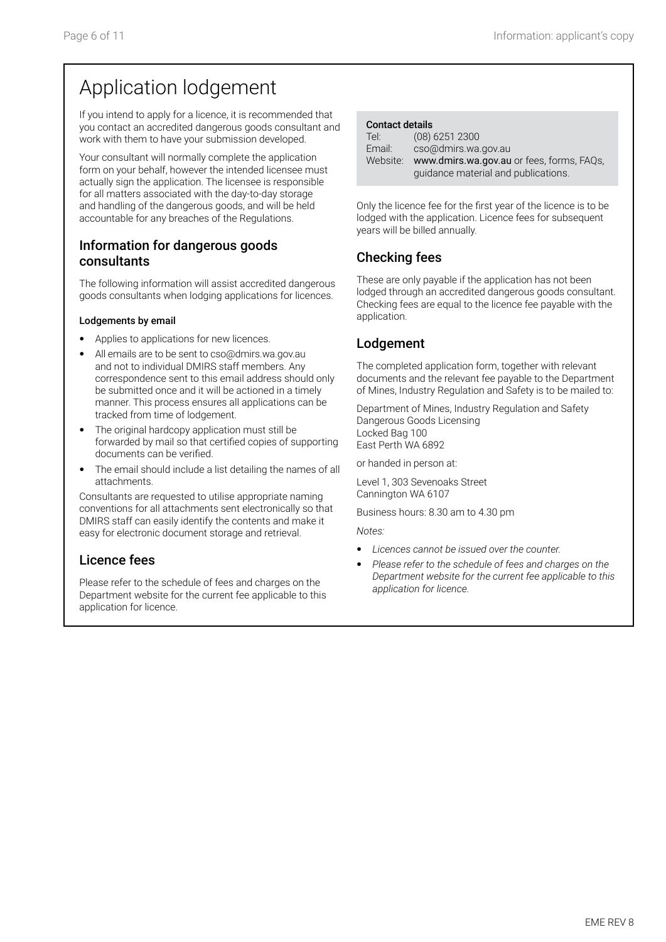## Application lodgement

If you intend to apply for a licence, it is recommended that you contact an accredited dangerous goods consultant and work with them to have your submission developed.

Your consultant will normally complete the application form on your behalf, however the intended licensee must actually sign the application. The licensee is responsible for all matters associated with the day-to-day storage and handling of the dangerous goods, and will be held accountable for any breaches of the Regulations.

#### Information for dangerous goods consultants

The following information will assist accredited dangerous goods consultants when lodging applications for licences.

#### Lodgements by email

- Applies to applications for new licences.
- All emails are to be sent to cso@dmirs.wa.gov.au and not to individual DMIRS staff members. Any correspondence sent to this email address should only be submitted once and it will be actioned in a timely manner. This process ensures all applications can be tracked from time of lodgement.
- The original hardcopy application must still be forwarded by mail so that certified copies of supporting documents can be verified.
- The email should include a list detailing the names of all attachments.

Consultants are requested to utilise appropriate naming conventions for all attachments sent electronically so that DMIRS staff can easily identify the contents and make it easy for electronic document storage and retrieval.

#### Licence fees

Please refer to the schedule of fees and charges on the Department website for the current fee applicable to this application for licence.

| <b>Contact details</b> |                                           |
|------------------------|-------------------------------------------|
| Tel:                   | $(08)$ 6251 2300                          |
| Email:                 | cso@dmirs.wa.gov.au                       |
| Website:               | www.dmirs.wa.gov.au or fees, forms, FAQs, |
|                        | guidance material and publications.       |

Only the licence fee for the first year of the licence is to be lodged with the application. Licence fees for subsequent years will be billed annually.

### Checking fees

These are only payable if the application has not been lodged through an accredited dangerous goods consultant. Checking fees are equal to the licence fee payable with the application.

### Lodgement

The completed application form, together with relevant documents and the relevant fee payable to the Department of Mines, Industry Regulation and Safety is to be mailed to:

Department of Mines, Industry Regulation and Safety Dangerous Goods Licensing Locked Bag 100 East Perth WA 6892

or handed in person at:

Level 1, 303 Sevenoaks Street Cannington WA 6107

Business hours: 8.30 am to 4.30 pm

*Notes:*

- *Licences cannot be issued over the counter.*
- *Please refer to the schedule of fees and charges on the Department website for the current fee applicable to this application for licence.*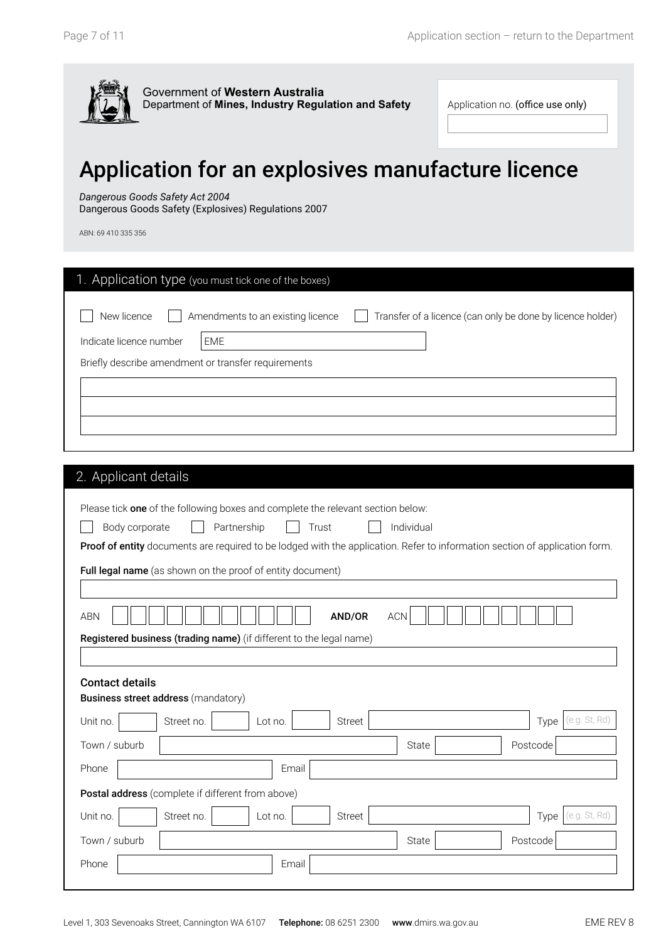

Application no. (office use only)

EME

# Application for an explosives manufacture licence

#### *Dangerous Goods Safety Act 2004*

Dangerous Goods Safety (Explosives) Regulations 2007

ABN: 69 410 335 356

| 1. Application type (you must tick one of the boxes) |                                                            |
|------------------------------------------------------|------------------------------------------------------------|
| Amendments to an existing licence<br>EME             | Transfer of a licence (can only be done by licence holder) |
| Briefly describe amendment or transfer requirements  |                                                            |
|                                                      |                                                            |
|                                                      |                                                            |
|                                                      |                                                            |

### 2. Applicant details

|                                                   | Please tick one of the following boxes and complete the relevant section below:                                             |  |  |  |
|---------------------------------------------------|-----------------------------------------------------------------------------------------------------------------------------|--|--|--|
|                                                   | Individual<br>Partnership<br>Trust<br>Body corporate                                                                        |  |  |  |
|                                                   | Proof of entity documents are required to be lodged with the application. Refer to information section of application form. |  |  |  |
|                                                   | Full legal name (as shown on the proof of entity document)                                                                  |  |  |  |
|                                                   |                                                                                                                             |  |  |  |
| <b>ABN</b>                                        | AND/OR<br><b>ACN</b>                                                                                                        |  |  |  |
|                                                   | Registered business (trading name) (if different to the legal name)                                                         |  |  |  |
|                                                   |                                                                                                                             |  |  |  |
| <b>Contact details</b>                            |                                                                                                                             |  |  |  |
|                                                   | <b>Business street address (mandatory)</b>                                                                                  |  |  |  |
| Unit no.                                          | (e.g. St, Rd)<br>Street no.<br>Lot no.<br><b>Street</b><br>Type                                                             |  |  |  |
| Town / suburb                                     | Postcode<br>State                                                                                                           |  |  |  |
| Phone                                             | Email                                                                                                                       |  |  |  |
| Postal address (complete if different from above) |                                                                                                                             |  |  |  |
| Unit no.                                          | (e.g. St, Rd)<br>Street no.<br>Lot no.<br>Street<br>Type                                                                    |  |  |  |
| Town / suburb                                     | State<br>Postcode                                                                                                           |  |  |  |
| Phone                                             | Email                                                                                                                       |  |  |  |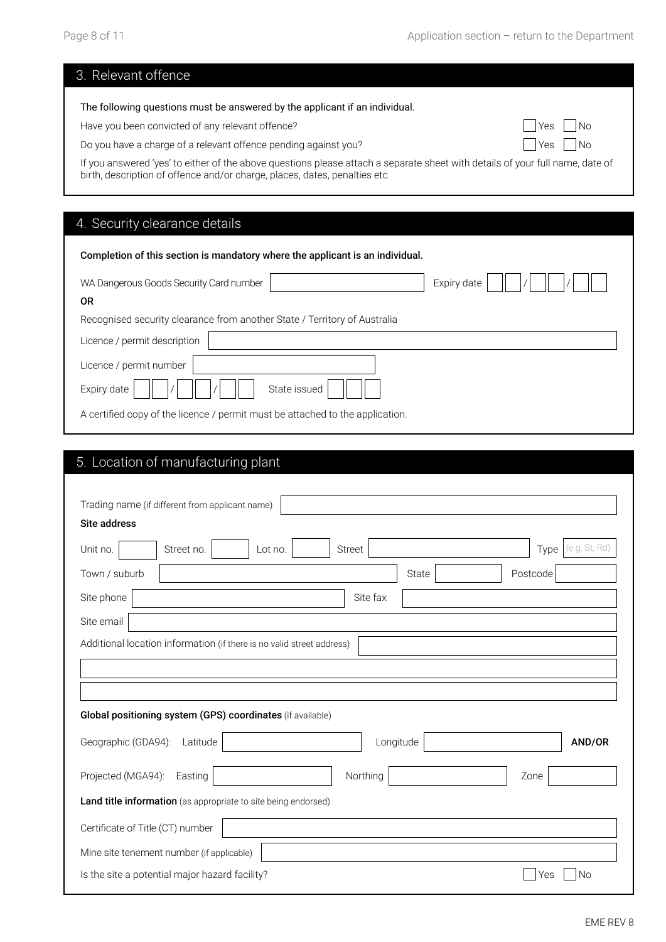|  | 3. Relevant offence |
|--|---------------------|
|  |                     |

| The following questions must be answered by the applicant if an individual. |                      |  |
|-----------------------------------------------------------------------------|----------------------|--|
| Have you been convicted of any relevant offence?                            | $\Box$ Yes $\Box$ No |  |

Do you have a charge of a relevant offence pending against you?<br>  $\Box$  Yes  $\Box$  No

If you answered 'yes' to either of the above questions please attach a separate sheet with details of your full name, date of birth, description of offence and/or charge, places, dates, penalties etc.

#### 4. Security clearance details

| Completion of this section is mandatory where the applicant is an individual. |  |  |  |
|-------------------------------------------------------------------------------|--|--|--|
| WA Dangerous Goods Security Card number<br>Expiry date                        |  |  |  |
| <b>OR</b>                                                                     |  |  |  |
| Recognised security clearance from another State / Territory of Australia     |  |  |  |
| Licence / permit description                                                  |  |  |  |
| Licence / permit number                                                       |  |  |  |
| State issued<br>Expiry date                                                   |  |  |  |
| A certified copy of the licence / permit must be attached to the application. |  |  |  |

### 5. Location of manufacturing plant

| Trading name (if different from applicant name)                       |               |                       |  |
|-----------------------------------------------------------------------|---------------|-----------------------|--|
| <b>Site address</b>                                                   |               |                       |  |
| Unit no.<br>Street no.<br>Lot no.                                     | <b>Street</b> | (e.g. St, Rd)<br>Type |  |
| Town / suburb                                                         | <b>State</b>  | Postcode              |  |
| Site phone                                                            | Site fax      |                       |  |
| Site email                                                            |               |                       |  |
| Additional location information (if there is no valid street address) |               |                       |  |
|                                                                       |               |                       |  |
|                                                                       |               |                       |  |
| Global positioning system (GPS) coordinates (if available)            |               |                       |  |
| Geographic (GDA94):<br>Latitude                                       | Longitude     | AND/OR                |  |
| Projected (MGA94):<br>Easting                                         | Northing      | Zone                  |  |
| Land title information (as appropriate to site being endorsed)        |               |                       |  |
| Certificate of Title (CT) number                                      |               |                       |  |
| Mine site tenement number (if applicable)                             |               |                       |  |
|                                                                       |               |                       |  |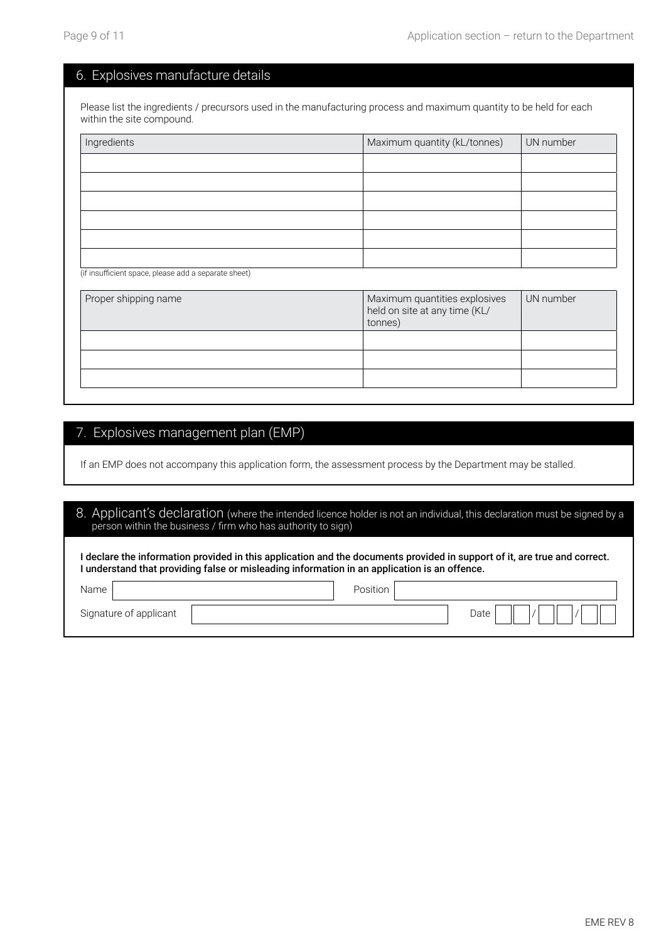#### 6. Explosives manufacture details

Please list the ingredients / precursors used in the manufacturing process and maximum quantity to be held for each within the site compound.

| Ingredients                                          | Maximum quantity (kL/tonnes)<br>UN number   |
|------------------------------------------------------|---------------------------------------------|
|                                                      |                                             |
|                                                      |                                             |
|                                                      |                                             |
|                                                      |                                             |
|                                                      |                                             |
|                                                      |                                             |
| (if insufficient space, please add a separate sheet) |                                             |
| Dropor chinning namo                                 | Maximum quantities explosives<br>IIN numbor |

| Proper shipping name | Maximum quantities explosives<br>held on site at any time (KL/<br>tonnes) | UN number |
|----------------------|---------------------------------------------------------------------------|-----------|
|                      |                                                                           |           |
|                      |                                                                           |           |
|                      |                                                                           |           |
|                      |                                                                           |           |

#### 7. Explosives management plan (EMP)

If an EMP does not accompany this application form, the assessment process by the Department may be stalled.

| person within the business / firm who has authority to sign)                                                                                                                                                              | 8. Applicant's declaration (where the intended licence holder is not an individual, this declaration must be signed by a |  |  |
|---------------------------------------------------------------------------------------------------------------------------------------------------------------------------------------------------------------------------|--------------------------------------------------------------------------------------------------------------------------|--|--|
| I declare the information provided in this application and the documents provided in support of it, are true and correct.<br>I understand that providing false or misleading information in an application is an offence. |                                                                                                                          |  |  |
| Name                                                                                                                                                                                                                      | Position                                                                                                                 |  |  |
| Signature of applicant                                                                                                                                                                                                    | Date                                                                                                                     |  |  |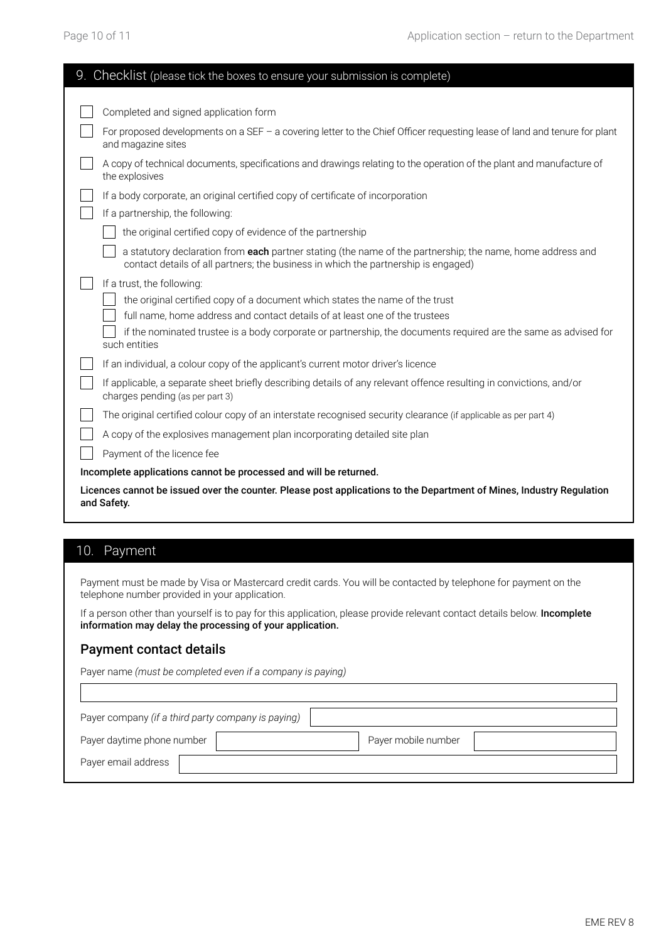| 9. Checklist (please tick the boxes to ensure your submission is complete)                                                          |                                                                                                                                                                                                  |  |  |  |
|-------------------------------------------------------------------------------------------------------------------------------------|--------------------------------------------------------------------------------------------------------------------------------------------------------------------------------------------------|--|--|--|
|                                                                                                                                     |                                                                                                                                                                                                  |  |  |  |
|                                                                                                                                     | Completed and signed application form                                                                                                                                                            |  |  |  |
|                                                                                                                                     | For proposed developments on a SEF - a covering letter to the Chief Officer requesting lease of land and tenure for plant<br>and magazine sites                                                  |  |  |  |
|                                                                                                                                     | A copy of technical documents, specifications and drawings relating to the operation of the plant and manufacture of<br>the explosives                                                           |  |  |  |
|                                                                                                                                     | If a body corporate, an original certified copy of certificate of incorporation                                                                                                                  |  |  |  |
|                                                                                                                                     | If a partnership, the following:                                                                                                                                                                 |  |  |  |
|                                                                                                                                     | the original certified copy of evidence of the partnership                                                                                                                                       |  |  |  |
|                                                                                                                                     | a statutory declaration from each partner stating (the name of the partnership; the name, home address and<br>contact details of all partners; the business in which the partnership is engaged) |  |  |  |
|                                                                                                                                     | If a trust, the following:                                                                                                                                                                       |  |  |  |
|                                                                                                                                     | the original certified copy of a document which states the name of the trust                                                                                                                     |  |  |  |
|                                                                                                                                     | full name, home address and contact details of at least one of the trustees                                                                                                                      |  |  |  |
|                                                                                                                                     | if the nominated trustee is a body corporate or partnership, the documents required are the same as advised for<br>such entities                                                                 |  |  |  |
|                                                                                                                                     | If an individual, a colour copy of the applicant's current motor driver's licence                                                                                                                |  |  |  |
|                                                                                                                                     | If applicable, a separate sheet briefly describing details of any relevant offence resulting in convictions, and/or<br>charges pending (as per part 3)                                           |  |  |  |
|                                                                                                                                     | The original certified colour copy of an interstate recognised security clearance (if applicable as per part 4)                                                                                  |  |  |  |
|                                                                                                                                     | A copy of the explosives management plan incorporating detailed site plan                                                                                                                        |  |  |  |
|                                                                                                                                     | Payment of the licence fee                                                                                                                                                                       |  |  |  |
| Incomplete applications cannot be processed and will be returned.                                                                   |                                                                                                                                                                                                  |  |  |  |
| Licences cannot be issued over the counter. Please post applications to the Department of Mines, Industry Regulation<br>and Safety. |                                                                                                                                                                                                  |  |  |  |

### 10. Payment

Payment must be made by Visa or Mastercard credit cards. You will be contacted by telephone for payment on the telephone number provided in your application.

If a person other than yourself is to pay for this application, please provide relevant contact details below. Incomplete information may delay the processing of your application.

#### Payment contact details

Payer name *(must be completed even if a company is paying)*

| Payer company (if a third party company is paying) |  |                     |  |  |  |
|----------------------------------------------------|--|---------------------|--|--|--|
| Payer daytime phone number                         |  | Payer mobile number |  |  |  |
| Payer email address                                |  |                     |  |  |  |